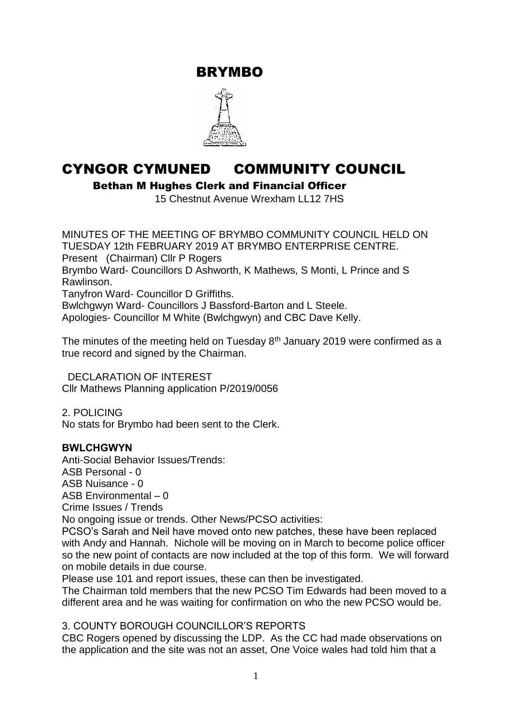BRYMBO



# CYNGOR CYMUNED COMMUNITY COUNCIL

Bethan M Hughes Clerk and Financial Officer

15 Chestnut Avenue Wrexham LL12 7HS

MINUTES OF THE MEETING OF BRYMBO COMMUNITY COUNCIL HELD ON TUESDAY 12th FEBRUARY 2019 AT BRYMBO ENTERPRISE CENTRE. Present (Chairman) Cllr P Rogers Brymbo Ward- Councillors D Ashworth, K Mathews, S Monti, L Prince and S Rawlinson. Tanyfron Ward- Councillor D Griffiths. Bwlchgwyn Ward- Councillors J Bassford-Barton and L Steele. Apologies- Councillor M White (Bwlchgwyn) and CBC Dave Kelly.

The minutes of the meeting held on Tuesday 8<sup>th</sup> January 2019 were confirmed as a true record and signed by the Chairman.

 DECLARATION OF INTEREST Cllr Mathews Planning application P/2019/0056

2. POLICING No stats for Brymbo had been sent to the Clerk.

#### **BWLCHGWYN**

Anti-Social Behavior Issues/Trends: ASB Personal - 0 ASB Nuisance - 0 ASB Environmental – 0 Crime Issues / Trends No ongoing issue or trends. Other News/PCSO activities: PCSO's Sarah and Neil have moved onto new patches, these have been replaced

with Andy and Hannah. Nichole will be moving on in March to become police officer so the new point of contacts are now included at the top of this form. We will forward on mobile details in due course.

Please use 101 and report issues, these can then be investigated.

The Chairman told members that the new PCSO Tim Edwards had been moved to a different area and he was waiting for confirmation on who the new PCSO would be.

3. COUNTY BOROUGH COUNCILLOR'S REPORTS

CBC Rogers opened by discussing the LDP. As the CC had made observations on the application and the site was not an asset, One Voice wales had told him that a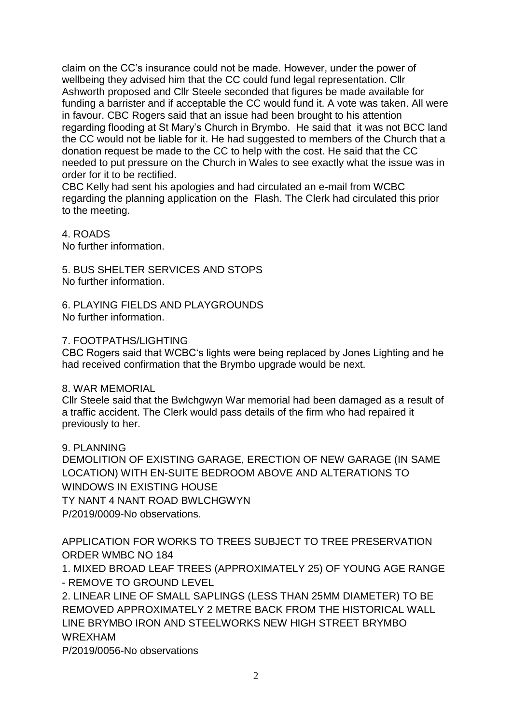claim on the CC's insurance could not be made. However, under the power of wellbeing they advised him that the CC could fund legal representation. Cllr Ashworth proposed and Cllr Steele seconded that figures be made available for funding a barrister and if acceptable the CC would fund it. A vote was taken. All were in favour. CBC Rogers said that an issue had been brought to his attention regarding flooding at St Mary's Church in Brymbo. He said that it was not BCC land the CC would not be liable for it. He had suggested to members of the Church that a donation request be made to the CC to help with the cost. He said that the CC needed to put pressure on the Church in Wales to see exactly what the issue was in order for it to be rectified.

CBC Kelly had sent his apologies and had circulated an e-mail from WCBC regarding the planning application on the Flash. The Clerk had circulated this prior to the meeting.

4. ROADS No further information.

5. BUS SHELTER SERVICES AND STOPS No further information.

6. PLAYING FIELDS AND PLAYGROUNDS No further information.

# 7. FOOTPATHS/LIGHTING

CBC Rogers said that WCBC's lights were being replaced by Jones Lighting and he had received confirmation that the Brymbo upgrade would be next.

#### 8. WAR MEMORIAL

Cllr Steele said that the Bwlchgwyn War memorial had been damaged as a result of a traffic accident. The Clerk would pass details of the firm who had repaired it previously to her.

#### 9. PLANNING

DEMOLITION OF EXISTING GARAGE, ERECTION OF NEW GARAGE (IN SAME LOCATION) WITH EN-SUITE BEDROOM ABOVE AND ALTERATIONS TO WINDOWS IN EXISTING HOUSE TY NANT 4 NANT ROAD BWLCHGWYN P/2019/0009-No observations.

APPLICATION FOR WORKS TO TREES SUBJECT TO TREE PRESERVATION ORDER WMBC NO 184

1. MIXED BROAD LEAF TREES (APPROXIMATELY 25) OF YOUNG AGE RANGE - REMOVE TO GROUND LEVEL

2. LINEAR LINE OF SMALL SAPLINGS (LESS THAN 25MM DIAMETER) TO BE REMOVED APPROXIMATELY 2 METRE BACK FROM THE HISTORICAL WALL LINE BRYMBO IRON AND STEELWORKS NEW HIGH STREET BRYMBO WREXHAM

P/2019/0056-No observations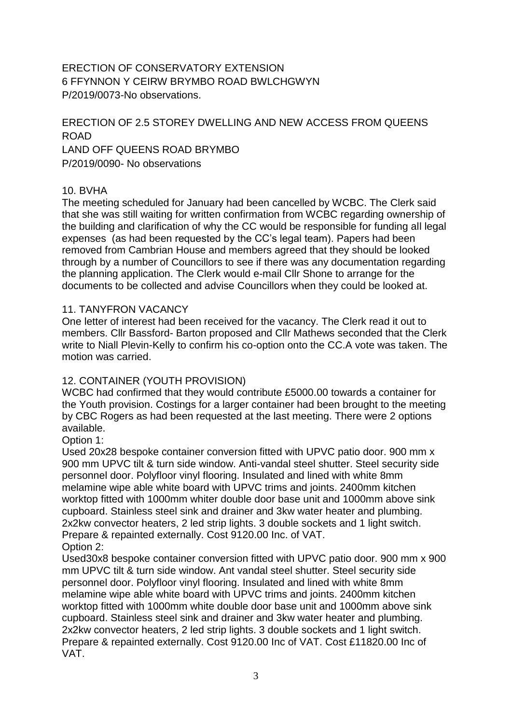ERECTION OF CONSERVATORY EXTENSION 6 FFYNNON Y CEIRW BRYMBO ROAD BWLCHGWYN P/2019/0073-No observations.

# ERECTION OF 2.5 STOREY DWELLING AND NEW ACCESS FROM QUEENS ROAD LAND OFF QUEENS ROAD BRYMBO P/2019/0090- No observations

# 10. BVHA

The meeting scheduled for January had been cancelled by WCBC. The Clerk said that she was still waiting for written confirmation from WCBC regarding ownership of the building and clarification of why the CC would be responsible for funding all legal expenses (as had been requested by the CC's legal team). Papers had been removed from Cambrian House and members agreed that they should be looked through by a number of Councillors to see if there was any documentation regarding the planning application. The Clerk would e-mail Cllr Shone to arrange for the documents to be collected and advise Councillors when they could be looked at.

#### 11. TANYFRON VACANCY

One letter of interest had been received for the vacancy. The Clerk read it out to members. Cllr Bassford- Barton proposed and Cllr Mathews seconded that the Clerk write to Niall Plevin-Kelly to confirm his co-option onto the CC.A vote was taken. The motion was carried.

#### 12. CONTAINER (YOUTH PROVISION)

WCBC had confirmed that they would contribute £5000.00 towards a container for the Youth provision. Costings for a larger container had been brought to the meeting by CBC Rogers as had been requested at the last meeting. There were 2 options available.

Option 1:

Used 20x28 bespoke container conversion fitted with UPVC patio door. 900 mm x 900 mm UPVC tilt & turn side window. Anti-vandal steel shutter. Steel security side personnel door. Polyfloor vinyl flooring. Insulated and lined with white 8mm melamine wipe able white board with UPVC trims and joints. 2400mm kitchen worktop fitted with 1000mm whiter double door base unit and 1000mm above sink cupboard. Stainless steel sink and drainer and 3kw water heater and plumbing. 2x2kw convector heaters, 2 led strip lights. 3 double sockets and 1 light switch. Prepare & repainted externally. Cost 9120.00 Inc. of VAT. Option 2:

Used30x8 bespoke container conversion fitted with UPVC patio door. 900 mm x 900 mm UPVC tilt & turn side window. Ant vandal steel shutter. Steel security side personnel door. Polyfloor vinyl flooring. Insulated and lined with white 8mm melamine wipe able white board with UPVC trims and joints. 2400mm kitchen worktop fitted with 1000mm white double door base unit and 1000mm above sink cupboard. Stainless steel sink and drainer and 3kw water heater and plumbing. 2x2kw convector heaters, 2 led strip lights. 3 double sockets and 1 light switch. Prepare & repainted externally. Cost 9120.00 Inc of VAT. Cost £11820.00 Inc of VAT.